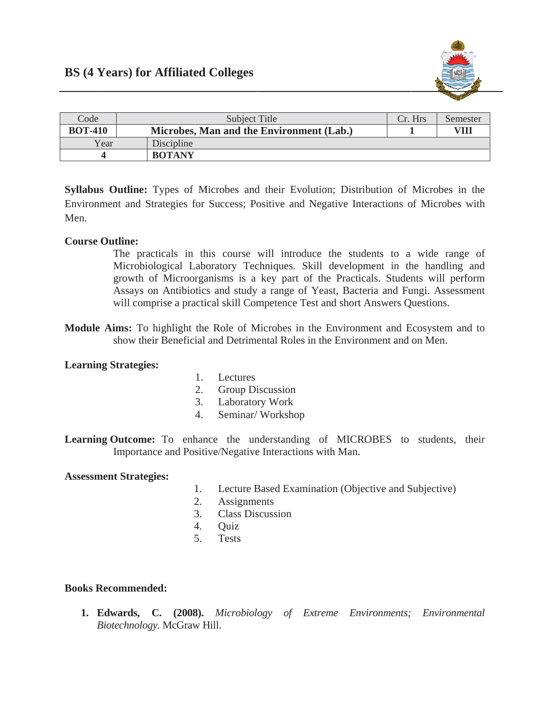

| Code           | Subject Title                            | Cr. Hrs | Semester |
|----------------|------------------------------------------|---------|----------|
| <b>BOT-410</b> | Microbes, Man and the Environment (Lab.) |         | VIII     |
| Year           | Discipline                               |         |          |
|                | <b>BOTANY</b>                            |         |          |

Syllabus Outline: Types of Microbes and their Evolution; Distribution of Microbes in the Environment and Strategies for Success; Positive and Negative Interactions of Microbes with Men.

## **Course Outline:**

The practicals in this course will introduce the students to a wide range of Microbiological Laboratory Techniques. Skill development in the handling and growth of Microorganisms is a key part of the Practicals. Students will perform Assays on Antibiotics and study a range of Yeast, Bacteria and Fungi. Assessment will comprise a practical skill Competence Test and short Answers Questions.

**Module Aims:** To highlight the Role of Microbes in the Environment and Ecosystem and to show their Beneficial and Detrimental Roles in the Environment and on Men.

## **Learning Strategies:**

- 1. Lectures
- Group Discussion 2.
- $3.$ Laboratory Work
- $4.$ Seminar/Workshop

Learning Outcome: To enhance the understanding of MICROBES to students, their Importance and Positive/Negative Interactions with Man.

## **Assessment Strategies:**

- $1.$ Lecture Based Examination (Objective and Subjective)
- $2.$ Assignments
- $3.$ **Class Discussion**
- Ouiz 4.
- $5<sub>1</sub>$ **Tests**

## **Books Recommended:**

1. Edwards, C. (2008). Microbiology of Extreme Environments; Environmental Biotechnology. McGraw Hill.